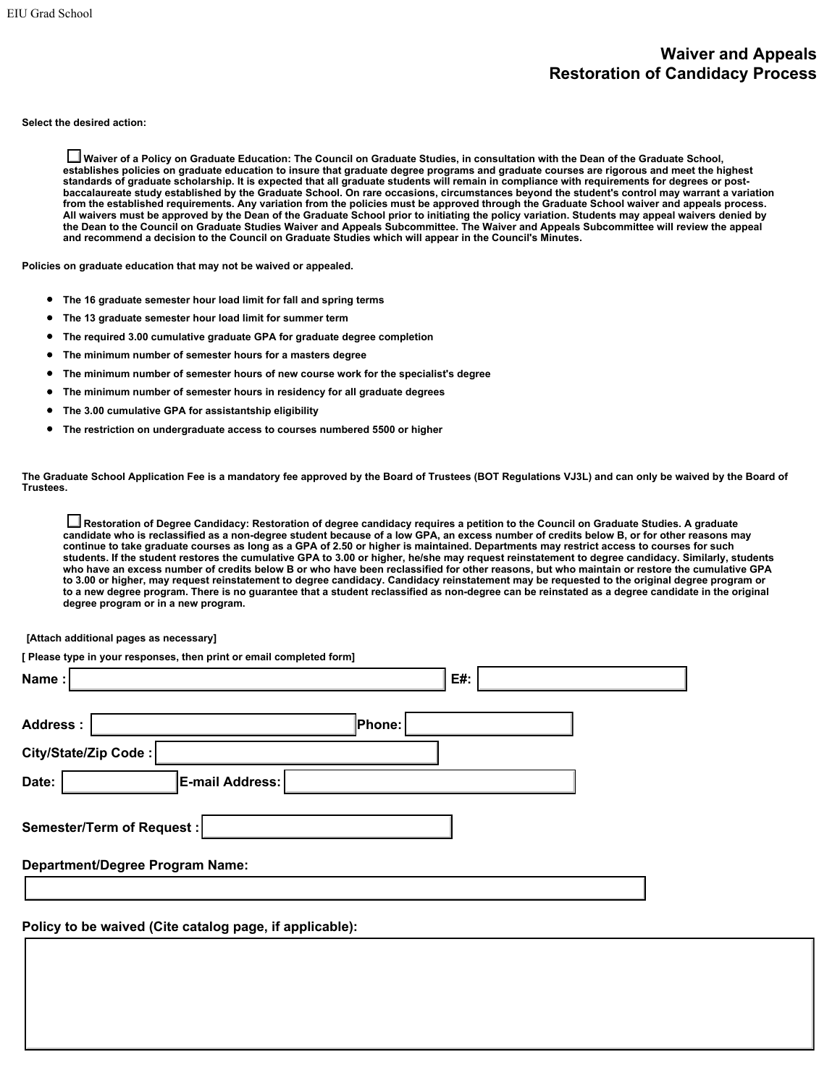## **Waiver and Appeals Restoration of Candidacy Process**

**Select the desired action:**

**Waiver of a Policy on Graduate Education: The Council on Graduate Studies, in consultation with the Dean of the Graduate School, establishes policies on graduate education to insure that graduate degree programs and graduate courses are rigorous and meet the highest standards of graduate scholarship. It is expected that all graduate students will remain in compliance with requirements for degrees or postbaccalaureate study established by the Graduate School. On rare occasions, circumstances beyond the student's control may warrant a variation from the established requirements. Any variation from the policies must be approved through the Graduate School waiver and appeals process. All waivers must be approved by the Dean of the Graduate School prior to initiating the policy variation. Students may appeal waivers denied by the Dean to the Council on Graduate Studies Waiver and Appeals Subcommittee. The Waiver and Appeals Subcommittee will review the appeal and recommend a decision to the Council on Graduate Studies which will appear in the Council's Minutes.**

**Policies on graduate education that may not be waived or appealed.**

- **The 16 graduate semester hour load limit for fall and spring terms**
- **The 13 graduate semester hour load limit for summer term**
- **The required 3.00 cumulative graduate GPA for graduate degree completion**
- **The minimum number of semester hours for a masters degree**
- **The minimum number of semester hours of new course work for the specialist's degree**
- **The minimum number of semester hours in residency for all graduate degrees**
- **The 3.00 cumulative GPA for assistantship eligibility**
- **The restriction on undergraduate access to courses numbered 5500 or higher**

**The Graduate School Application Fee is a mandatory fee approved by the Board of Trustees (BOT Regulations VJ3L) and can only be waived by the Board of Trustees.**

**Restoration of Degree Candidacy: Restoration of degree candidacy requires a petition to the Council on Graduate Studies. A graduate candidate who is reclassified as a non-degree student because of a low GPA, an excess number of credits below B, or for other reasons may continue to take graduate courses as long as a GPA of 2.50 or higher is maintained. Departments may restrict access to courses for such students. If the student restores the cumulative GPA to 3.00 or higher, he/she may request reinstatement to degree candidacy. Similarly, students who have an excess number of credits below B or who have been reclassified for other reasons, but who maintain or restore the cumulative GPA to 3.00 or higher, may request reinstatement to degree candidacy. Candidacy reinstatement may be requested to the original degree program or to a new degree program. There is no guarantee that a student reclassified as non-degree can be reinstated as a degree candidate in the original degree program or in a new program.**

**[Attach additional pages as necessary]**

| [Please type in your responses, then print or email completed form] |        |  |
|---------------------------------------------------------------------|--------|--|
| Name:                                                               | E#:    |  |
|                                                                     |        |  |
| <b>Address:</b>                                                     | Phone: |  |
| City/State/Zip Code:                                                |        |  |
| E-mail Address:<br>Date:                                            |        |  |
| Semester/Term of Request :                                          |        |  |
| <b>Department/Degree Program Name:</b>                              |        |  |
|                                                                     |        |  |
|                                                                     |        |  |

**Policy to be waived (Cite catalog page, if applicable):**